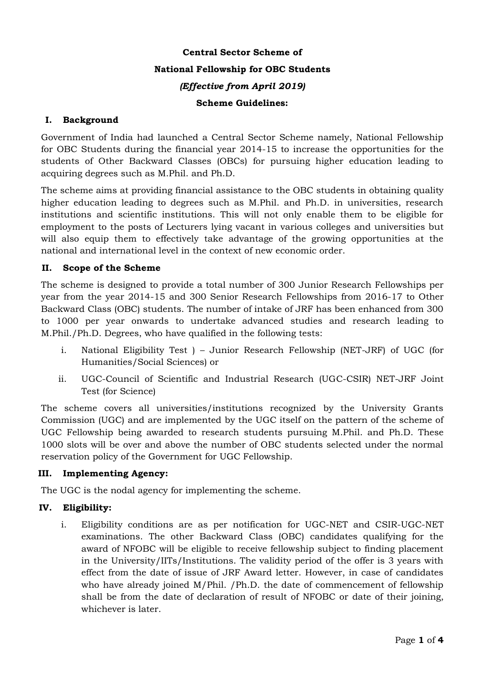# **Central Sector Scheme of National Fellowship for OBC Students** *(Effective from April 2019)* **Scheme Guidelines:**

## **I. Background**

Government of India had launched a Central Sector Scheme namely, National Fellowship for OBC Students during the financial year 2014-15 to increase the opportunities for the students of Other Backward Classes (OBCs) for pursuing higher education leading to acquiring degrees such as M.Phil. and Ph.D.

The scheme aims at providing financial assistance to the OBC students in obtaining quality higher education leading to degrees such as M.Phil. and Ph.D. in universities, research institutions and scientific institutions. This will not only enable them to be eligible for employment to the posts of Lecturers lying vacant in various colleges and universities but will also equip them to effectively take advantage of the growing opportunities at the national and international level in the context of new economic order.

## **II. Scope of the Scheme**

The scheme is designed to provide a total number of 300 Junior Research Fellowships per year from the year 2014-15 and 300 Senior Research Fellowships from 2016-17 to Other Backward Class (OBC) students. The number of intake of JRF has been enhanced from 300 to 1000 per year onwards to undertake advanced studies and research leading to M.Phil./Ph.D. Degrees, who have qualified in the following tests:

- i. National Eligibility Test ) Junior Research Fellowship (NET-JRF) of UGC (for Humanities/Social Sciences) or
- ii. UGC-Council of Scientific and Industrial Research (UGC-CSIR) NET-JRF Joint Test (for Science)

The scheme covers all universities/institutions recognized by the University Grants Commission (UGC) and are implemented by the UGC itself on the pattern of the scheme of UGC Fellowship being awarded to research students pursuing M.Phil. and Ph.D. These 1000 slots will be over and above the number of OBC students selected under the normal reservation policy of the Government for UGC Fellowship.

## **III. Implementing Agency:**

The UGC is the nodal agency for implementing the scheme.

## **IV. Eligibility:**

i. Eligibility conditions are as per notification for UGC-NET and CSIR-UGC-NET examinations. The other Backward Class (OBC) candidates qualifying for the award of NFOBC will be eligible to receive fellowship subject to finding placement in the University/IITs/Institutions. The validity period of the offer is 3 years with effect from the date of issue of JRF Award letter. However, in case of candidates who have already joined M/Phil. /Ph.D. the date of commencement of fellowship shall be from the date of declaration of result of NFOBC or date of their joining, whichever is later.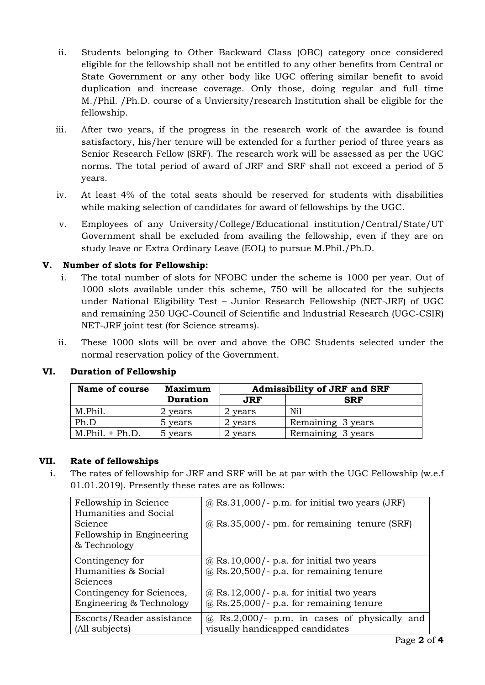- ii. Students belonging to Other Backward Class (OBC) category once considered eligible for the fellowship shall not be entitled to any other benefits from Central or State Government or any other body like UGC offering similar benefit to avoid duplication and increase coverage. Only those, doing regular and full time M./Phil. /Ph.D. course of a Unviersity/research Institution shall be eligible for the fellowship.
- iii. After two years, if the progress in the research work of the awardee is found satisfactory, his/her tenure will be extended for a further period of three years as Senior Research Fellow (SRF). The research work will be assessed as per the UGC norms. The total period of award of JRF and SRF shall not exceed a period of 5 years.
- iv. At least 4% of the total seats should be reserved for students with disabilities while making selection of candidates for award of fellowships by the UGC.
- v. Employees of any University/College/Educational institution/Central/State/UT Government shall be excluded from availing the fellowship, even if they are on study leave or Extra Ordinary Leave (EOL) to pursue M.Phil./Ph.D.

## **V. Number of slots for Fellowship:**

- i. The total number of slots for NFOBC under the scheme is 1000 per year. Out of 1000 slots available under this scheme, 750 will be allocated for the subjects under National Eligibility Test – Junior Research Fellowship (NET-JRF) of UGC and remaining 250 UGC-Council of Scientific and Industrial Research (UGC-CSIR) NET-JRF joint test (for Science streams).
- ii. These 1000 slots will be over and above the OBC Students selected under the normal reservation policy of the Government.

| Duration of Fellowship |                |                |                                     |                   |  |
|------------------------|----------------|----------------|-------------------------------------|-------------------|--|
|                        | Name of course | <b>Maximum</b> | <b>Admissibility of JRF and SRF</b> |                   |  |
|                        |                | Duration       | <b>JRF</b>                          | <b>SRF</b>        |  |
|                        | M.Phil.        | 2 vears        | years                               | Nil               |  |
|                        | Ph D           | 5 years        | vears                               | Remaining 3 years |  |

 $\vert$  M.Phil. + Ph.D.  $\vert$  5 years  $\vert$  2 years  $\vert$  Remaining 3 years

# **VI. Duration of Fellowship**

## **VII. Rate of fellowships**

i. The rates of fellowship for JRF and SRF will be at par with the UGC Fellowship (w.e.f 01.01.2019). Presently these rates are as follows:

| Fellowship in Science<br>Humanities and Social        | $\omega$ Rs.31,000/- p.m. for initial two years (JRF)                                        |  |  |
|-------------------------------------------------------|----------------------------------------------------------------------------------------------|--|--|
| Science                                               | $@$ Rs.35,000/- pm. for remaining tenure (SRF)                                               |  |  |
| Fellowship in Engineering<br>& Technology             |                                                                                              |  |  |
| Contingency for<br>Humanities & Social<br>Sciences    | $\omega$ Rs.10,000/- p.a. for initial two years<br>$@$ Rs.20,500/- p.a. for remaining tenure |  |  |
| Contingency for Sciences,<br>Engineering & Technology | $\omega$ Rs.12,000/- p.a. for initial two years<br>$@$ Rs.25,000/- p.a. for remaining tenure |  |  |
| Escorts/Reader assistance<br>(All subjects)           | Rs.2,000/- p.m. in cases of physically and<br>(a)<br>visually handicapped candidates         |  |  |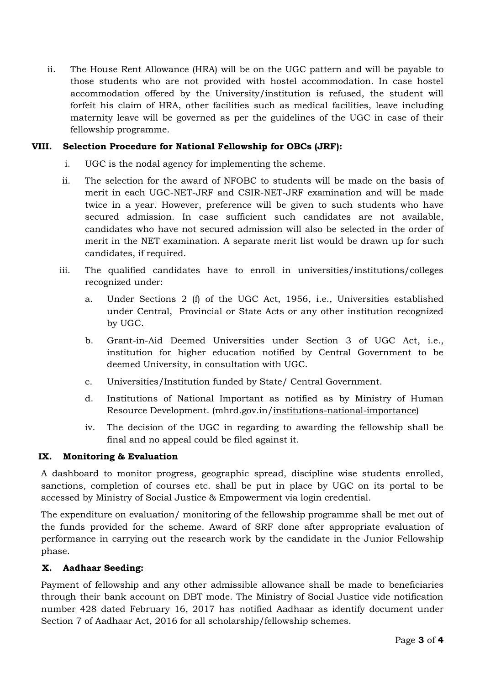ii. The House Rent Allowance (HRA) will be on the UGC pattern and will be payable to those students who are not provided with hostel accommodation. In case hostel accommodation offered by the University/institution is refused, the student will forfeit his claim of HRA, other facilities such as medical facilities, leave including maternity leave will be governed as per the guidelines of the UGC in case of their fellowship programme.

## **VIII. Selection Procedure for National Fellowship for OBCs (JRF):**

- i. UGC is the nodal agency for implementing the scheme.
- ii. The selection for the award of NFOBC to students will be made on the basis of merit in each UGC-NET-JRF and CSIR-NET-JRF examination and will be made twice in a year. However, preference will be given to such students who have secured admission. In case sufficient such candidates are not available, candidates who have not secured admission will also be selected in the order of merit in the NET examination. A separate merit list would be drawn up for such candidates, if required.
- iii. The qualified candidates have to enroll in universities/institutions/colleges recognized under:
	- a. Under Sections 2 (f) of the UGC Act, 1956, i.e., Universities established under Central, Provincial or State Acts or any other institution recognized by UGC.
	- b. Grant-in-Aid Deemed Universities under Section 3 of UGC Act, i.e., institution for higher education notified by Central Government to be deemed University, in consultation with UGC.
	- c. Universities/Institution funded by State/ Central Government.
	- d. Institutions of National Important as notified as by Ministry of Human Resource Development. (mhrd.gov.in/institutions-national-importance)
	- iv. The decision of the UGC in regarding to awarding the fellowship shall be final and no appeal could be filed against it.

## **IX. Monitoring & Evaluation**

A dashboard to monitor progress, geographic spread, discipline wise students enrolled, sanctions, completion of courses etc. shall be put in place by UGC on its portal to be accessed by Ministry of Social Justice & Empowerment via login credential.

The expenditure on evaluation/ monitoring of the fellowship programme shall be met out of the funds provided for the scheme. Award of SRF done after appropriate evaluation of performance in carrying out the research work by the candidate in the Junior Fellowship phase.

## **X. Aadhaar Seeding:**

Payment of fellowship and any other admissible allowance shall be made to beneficiaries through their bank account on DBT mode. The Ministry of Social Justice vide notification number 428 dated February 16, 2017 has notified Aadhaar as identify document under Section 7 of Aadhaar Act, 2016 for all scholarship/fellowship schemes.